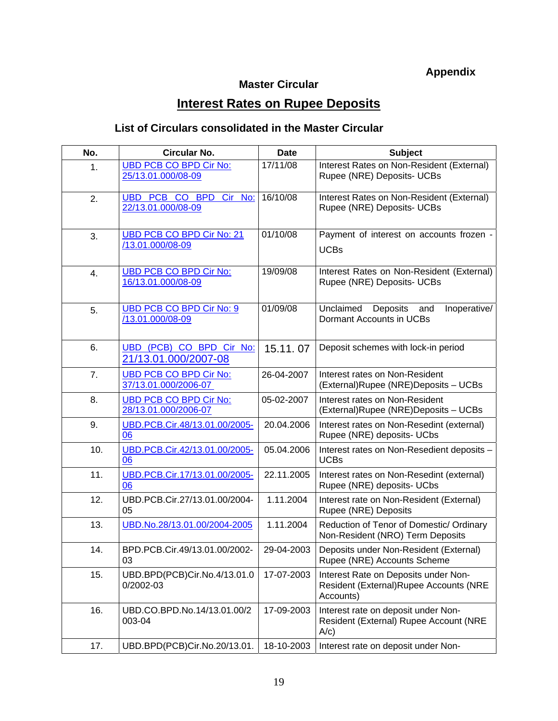## **Appendix**

## **Master Circular**

## **Interest Rates on Rupee Deposits**

## **List of Circulars consolidated in the Master Circular**

| No. | Circular No.                                          | <b>Date</b> | <b>Subject</b>                                                                              |
|-----|-------------------------------------------------------|-------------|---------------------------------------------------------------------------------------------|
| 1.  | <b>UBD PCB CO BPD Cir No:</b><br>25/13.01.000/08-09   | 17/11/08    | Interest Rates on Non-Resident (External)<br>Rupee (NRE) Deposits- UCBs                     |
| 2.  | UBD PCB CO BPD Cir No:<br>22/13.01.000/08-09          | 16/10/08    | Interest Rates on Non-Resident (External)<br>Rupee (NRE) Deposits- UCBs                     |
| 3.  | UBD PCB CO BPD Cir No: 21<br>/13.01.000/08-09         | 01/10/08    | Payment of interest on accounts frozen -<br><b>UCBs</b>                                     |
| 4.  | <b>UBD PCB CO BPD Cir No:</b><br>16/13.01.000/08-09   | 19/09/08    | Interest Rates on Non-Resident (External)<br>Rupee (NRE) Deposits- UCBs                     |
| 5.  | UBD PCB CO BPD Cir No: 9<br>/13.01.000/08-09          | 01/09/08    | Unclaimed Deposits and<br>Inoperative/<br>Dormant Accounts in UCBs                          |
| 6.  | UBD (PCB) CO BPD Cir No:<br>21/13.01.000/2007-08      | 15.11.07    | Deposit schemes with lock-in period                                                         |
| 7.  | <b>UBD PCB CO BPD Cir No:</b><br>37/13.01.000/2006-07 | 26-04-2007  | Interest rates on Non-Resident<br>(External)Rupee (NRE)Deposits - UCBs                      |
| 8.  | <b>UBD PCB CO BPD Cir No:</b><br>28/13.01.000/2006-07 | 05-02-2007  | Interest rates on Non-Resident<br>(External)Rupee (NRE)Deposits - UCBs                      |
| 9.  | UBD.PCB.Cir.48/13.01.00/2005-<br>06                   | 20.04.2006  | Interest rates on Non-Resedint (external)<br>Rupee (NRE) deposits- UCbs                     |
| 10. | UBD.PCB.Cir.42/13.01.00/2005-<br>06                   | 05.04.2006  | Interest rates on Non-Resedient deposits -<br><b>UCBs</b>                                   |
| 11. | UBD.PCB.Cir.17/13.01.00/2005-<br>06                   | 22.11.2005  | Interest rates on Non-Resedint (external)<br>Rupee (NRE) deposits- UCbs                     |
| 12. | UBD.PCB.Cir.27/13.01.00/2004-<br>05                   | 1.11.2004   | Interest rate on Non-Resident (External)<br>Rupee (NRE) Deposits                            |
| 13. | UBD.No.28/13.01.00/2004-2005                          | 1.11.2004   | Reduction of Tenor of Domestic/ Ordinary<br>Non-Resident (NRO) Term Deposits                |
| 14. | BPD.PCB.Cir.49/13.01.00/2002-<br>03                   | 29-04-2003  | Deposits under Non-Resident (External)<br>Rupee (NRE) Accounts Scheme                       |
| 15. | UBD.BPD(PCB)Cir.No.4/13.01.0<br>0/2002-03             | 17-07-2003  | Interest Rate on Deposits under Non-<br>Resident (External)Rupee Accounts (NRE<br>Accounts) |
| 16. | UBD.CO.BPD.No.14/13.01.00/2<br>003-04                 | 17-09-2003  | Interest rate on deposit under Non-<br>Resident (External) Rupee Account (NRE<br>A/c)       |
| 17. | UBD.BPD(PCB)Cir.No.20/13.01.                          | 18-10-2003  | Interest rate on deposit under Non-                                                         |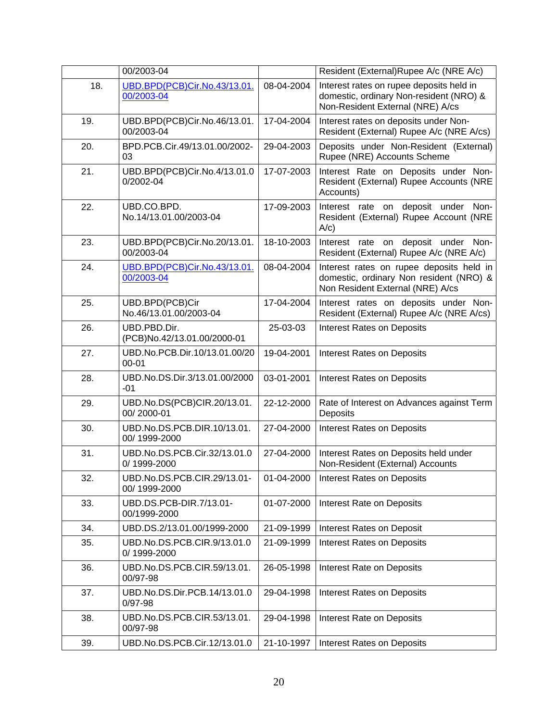|     | 00/2003-04                                  |            | Resident (External)Rupee A/c (NRE A/c)                                                                                  |
|-----|---------------------------------------------|------------|-------------------------------------------------------------------------------------------------------------------------|
| 18. | UBD.BPD(PCB)Cir.No.43/13.01.<br>00/2003-04  | 08-04-2004 | Interest rates on rupee deposits held in<br>domestic, ordinary Non-resident (NRO) &<br>Non-Resident External (NRE) A/cs |
| 19. | UBD.BPD(PCB)Cir.No.46/13.01.<br>00/2003-04  | 17-04-2004 | Interest rates on deposits under Non-<br>Resident (External) Rupee A/c (NRE A/cs)                                       |
| 20. | BPD.PCB.Cir.49/13.01.00/2002-<br>03         | 29-04-2003 | Deposits under Non-Resident (External)<br>Rupee (NRE) Accounts Scheme                                                   |
| 21. | UBD.BPD(PCB)Cir.No.4/13.01.0<br>0/2002-04   | 17-07-2003 | Interest Rate on Deposits under Non-<br>Resident (External) Rupee Accounts (NRE<br>Accounts)                            |
| 22. | UBD.CO.BPD.<br>No.14/13.01.00/2003-04       | 17-09-2003 | Interest rate on deposit under Non-<br>Resident (External) Rupee Account (NRE<br>A/c)                                   |
| 23. | UBD.BPD(PCB)Cir.No.20/13.01.<br>00/2003-04  | 18-10-2003 | Interest rate on deposit under<br>Non-<br>Resident (External) Rupee A/c (NRE A/c)                                       |
| 24. | UBD.BPD(PCB)Cir.No.43/13.01.<br>00/2003-04  | 08-04-2004 | Interest rates on rupee deposits held in<br>domestic, ordinary Non resident (NRO) &<br>Non Resident External (NRE) A/cs |
| 25. | UBD.BPD(PCB)Cir<br>No.46/13.01.00/2003-04   | 17-04-2004 | Interest rates on deposits under Non-<br>Resident (External) Rupee A/c (NRE A/cs)                                       |
| 26. | UBD.PBD.Dir.<br>(PCB)No.42/13.01.00/2000-01 | 25-03-03   | <b>Interest Rates on Deposits</b>                                                                                       |
| 27. | UBD.No.PCB.Dir.10/13.01.00/20<br>$00 - 01$  | 19-04-2001 | <b>Interest Rates on Deposits</b>                                                                                       |
| 28. | UBD.No.DS.Dir.3/13.01.00/2000<br>-01        | 03-01-2001 | <b>Interest Rates on Deposits</b>                                                                                       |
| 29. | UBD.No.DS(PCB)CIR.20/13.01.<br>00/2000-01   | 22-12-2000 | Rate of Interest on Advances against Term<br>Deposits                                                                   |
| 30. | UBD.No.DS.PCB.DIR.10/13.01.<br>00/1999-2000 | 27-04-2000 | Interest Rates on Deposits                                                                                              |
| 31. | UBD.No.DS.PCB.Cir.32/13.01.0<br>0/1999-2000 | 27-04-2000 | Interest Rates on Deposits held under<br>Non-Resident (External) Accounts                                               |
| 32. | UBD.No.DS.PCB.CIR.29/13.01-<br>00/1999-2000 | 01-04-2000 | <b>Interest Rates on Deposits</b>                                                                                       |
| 33. | UBD.DS.PCB-DIR.7/13.01-<br>00/1999-2000     | 01-07-2000 | <b>Interest Rate on Deposits</b>                                                                                        |
| 34. | UBD.DS.2/13.01.00/1999-2000                 | 21-09-1999 | Interest Rates on Deposit                                                                                               |
| 35. | UBD.No.DS.PCB.CIR.9/13.01.0<br>0/1999-2000  | 21-09-1999 | <b>Interest Rates on Deposits</b>                                                                                       |
| 36. | UBD.No.DS.PCB.CIR.59/13.01.<br>00/97-98     | 26-05-1998 | <b>Interest Rate on Deposits</b>                                                                                        |
| 37. | UBD.No.DS.Dir.PCB.14/13.01.0<br>$0/97 - 98$ | 29-04-1998 | <b>Interest Rates on Deposits</b>                                                                                       |
| 38. | UBD.No.DS.PCB.CIR.53/13.01.<br>00/97-98     | 29-04-1998 | Interest Rate on Deposits                                                                                               |
| 39. | UBD.No.DS.PCB.Cir.12/13.01.0                | 21-10-1997 | <b>Interest Rates on Deposits</b>                                                                                       |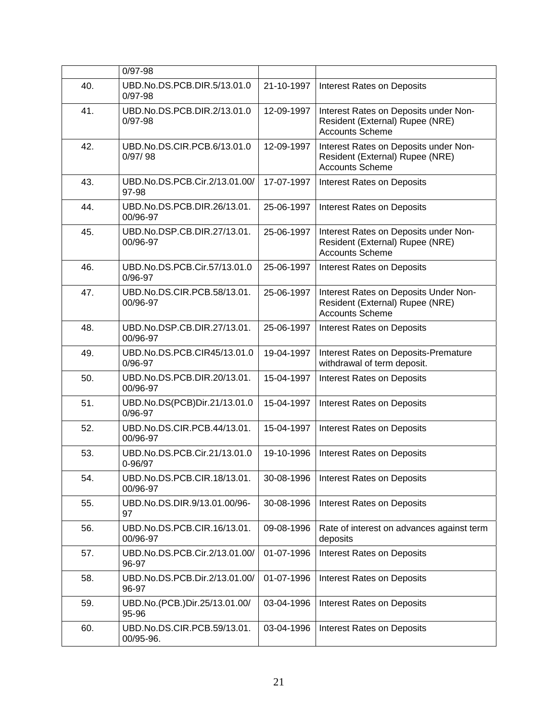|     | $0/97 - 98$                                 |            |                                                                                                    |
|-----|---------------------------------------------|------------|----------------------------------------------------------------------------------------------------|
| 40. | UBD.No.DS.PCB.DIR.5/13.01.0<br>$0/97 - 98$  | 21-10-1997 | <b>Interest Rates on Deposits</b>                                                                  |
| 41. | UBD.No.DS.PCB.DIR.2/13.01.0<br>$0/97 - 98$  | 12-09-1997 | Interest Rates on Deposits under Non-<br>Resident (External) Rupee (NRE)<br><b>Accounts Scheme</b> |
| 42. | UBD.No.DS.CIR.PCB.6/13.01.0<br>0/97/98      | 12-09-1997 | Interest Rates on Deposits under Non-<br>Resident (External) Rupee (NRE)<br><b>Accounts Scheme</b> |
| 43. | UBD.No.DS.PCB.Cir.2/13.01.00/<br>97-98      | 17-07-1997 | <b>Interest Rates on Deposits</b>                                                                  |
| 44. | UBD.No.DS.PCB.DIR.26/13.01.<br>00/96-97     | 25-06-1997 | <b>Interest Rates on Deposits</b>                                                                  |
| 45. | UBD.No.DSP.CB.DIR.27/13.01.<br>00/96-97     | 25-06-1997 | Interest Rates on Deposits under Non-<br>Resident (External) Rupee (NRE)<br><b>Accounts Scheme</b> |
| 46. | UBD.No.DS.PCB.Cir.57/13.01.0<br>$0/96 - 97$ | 25-06-1997 | <b>Interest Rates on Deposits</b>                                                                  |
| 47. | UBD.No.DS.CIR.PCB.58/13.01.<br>00/96-97     | 25-06-1997 | Interest Rates on Deposits Under Non-<br>Resident (External) Rupee (NRE)<br><b>Accounts Scheme</b> |
| 48. | UBD.No.DSP.CB.DIR.27/13.01.<br>00/96-97     | 25-06-1997 | <b>Interest Rates on Deposits</b>                                                                  |
| 49. | UBD.No.DS.PCB.CIR45/13.01.0<br>$0/96 - 97$  | 19-04-1997 | <b>Interest Rates on Deposits-Premature</b><br>withdrawal of term deposit.                         |
| 50. | UBD.No.DS.PCB.DIR.20/13.01.<br>00/96-97     | 15-04-1997 | <b>Interest Rates on Deposits</b>                                                                  |
| 51. | UBD.No.DS(PCB)Dir.21/13.01.0<br>$0/96 - 97$ | 15-04-1997 | <b>Interest Rates on Deposits</b>                                                                  |
| 52. | UBD.No.DS.CIR.PCB.44/13.01.<br>00/96-97     | 15-04-1997 | <b>Interest Rates on Deposits</b>                                                                  |
| 53. | UBD.No.DS.PCB.Cir.21/13.01.0<br>0-96/97     | 19-10-1996 | <b>Interest Rates on Deposits</b>                                                                  |
| 54. | UBD.No.DS.PCB.CIR.18/13.01.<br>00/96-97     | 30-08-1996 | <b>Interest Rates on Deposits</b>                                                                  |
| 55. | UBD.No.DS.DIR.9/13.01.00/96-<br>97          | 30-08-1996 | <b>Interest Rates on Deposits</b>                                                                  |
| 56. | UBD.No.DS.PCB.CIR.16/13.01.<br>00/96-97     | 09-08-1996 | Rate of interest on advances against term<br>deposits                                              |
| 57. | UBD.No.DS.PCB.Cir.2/13.01.00/<br>96-97      | 01-07-1996 | <b>Interest Rates on Deposits</b>                                                                  |
| 58. | UBD.No.DS.PCB.Dir.2/13.01.00/<br>96-97      | 01-07-1996 | <b>Interest Rates on Deposits</b>                                                                  |
| 59. | UBD.No.(PCB.)Dir.25/13.01.00/<br>95-96      | 03-04-1996 | <b>Interest Rates on Deposits</b>                                                                  |
| 60. | UBD.No.DS.CIR.PCB.59/13.01.<br>00/95-96.    | 03-04-1996 | <b>Interest Rates on Deposits</b>                                                                  |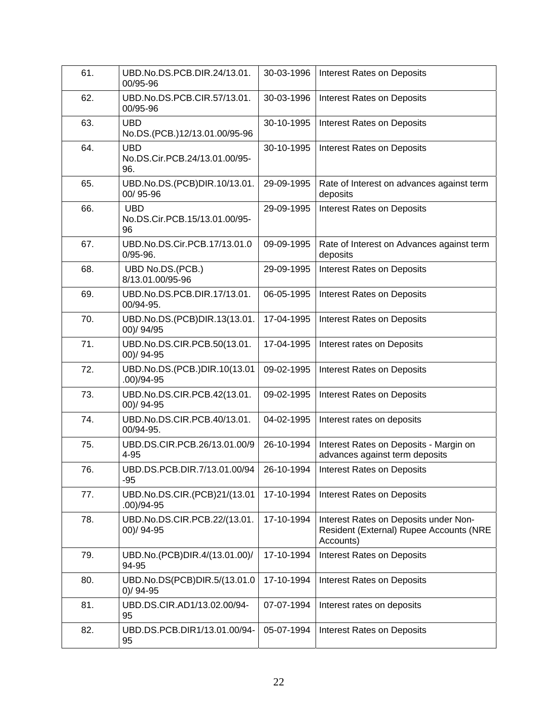| 61. | UBD.No.DS.PCB.DIR.24/13.01.<br>00/95-96            | 30-03-1996 | <b>Interest Rates on Deposits</b>                                                             |
|-----|----------------------------------------------------|------------|-----------------------------------------------------------------------------------------------|
| 62. | UBD.No.DS.PCB.CIR.57/13.01.<br>00/95-96            | 30-03-1996 | <b>Interest Rates on Deposits</b>                                                             |
| 63. | <b>UBD</b><br>No.DS.(PCB.)12/13.01.00/95-96        | 30-10-1995 | <b>Interest Rates on Deposits</b>                                                             |
| 64. | <b>UBD</b><br>No.DS.Cir.PCB.24/13.01.00/95-<br>96. | 30-10-1995 | <b>Interest Rates on Deposits</b>                                                             |
| 65. | UBD.No.DS.(PCB)DIR.10/13.01.<br>00/95-96           | 29-09-1995 | Rate of Interest on advances against term<br>deposits                                         |
| 66. | <b>UBD</b><br>No.DS.Cir.PCB.15/13.01.00/95-<br>96  | 29-09-1995 | <b>Interest Rates on Deposits</b>                                                             |
| 67. | UBD.No.DS.Cir.PCB.17/13.01.0<br>$0/95 - 96.$       | 09-09-1995 | Rate of Interest on Advances against term<br>deposits                                         |
| 68. | UBD No.DS.(PCB.)<br>8/13.01.00/95-96               | 29-09-1995 | <b>Interest Rates on Deposits</b>                                                             |
| 69. | UBD.No.DS.PCB.DIR.17/13.01.<br>00/94-95.           | 06-05-1995 | <b>Interest Rates on Deposits</b>                                                             |
| 70. | UBD.No.DS.(PCB)DIR.13(13.01.<br>00)/94/95          | 17-04-1995 | <b>Interest Rates on Deposits</b>                                                             |
| 71. | UBD.No.DS.CIR.PCB.50(13.01.<br>00)/94-95           | 17-04-1995 | Interest rates on Deposits                                                                    |
| 72. | UBD.No.DS.(PCB.)DIR.10(13.01<br>$.00)/94 - 95$     | 09-02-1995 | <b>Interest Rates on Deposits</b>                                                             |
| 73. | UBD.No.DS.CIR.PCB.42(13.01.<br>00)/94-95           | 09-02-1995 | <b>Interest Rates on Deposits</b>                                                             |
| 74. | UBD.No.DS.CIR.PCB.40/13.01.<br>00/94-95.           | 04-02-1995 | Interest rates on deposits                                                                    |
| 75. | UBD.DS.CIR.PCB.26/13.01.00/9<br>$4 - 95$           | 26-10-1994 | Interest Rates on Deposits - Margin on<br>advances against term deposits                      |
| 76. | UBD.DS.PCB.DIR.7/13.01.00/94<br>$-95$              | 26-10-1994 | <b>Interest Rates on Deposits</b>                                                             |
| 77. | UBD.No.DS.CIR.(PCB)21/(13.01<br>$.00)/94 - 95$     | 17-10-1994 | <b>Interest Rates on Deposits</b>                                                             |
| 78. | UBD.No.DS.CIR.PCB.22/(13.01.<br>00)/94-95          | 17-10-1994 | Interest Rates on Deposits under Non-<br>Resident (External) Rupee Accounts (NRE<br>Accounts) |
| 79. | UBD.No.(PCB)DIR.4/(13.01.00)/<br>94-95             | 17-10-1994 | <b>Interest Rates on Deposits</b>                                                             |
| 80. | UBD.No.DS(PCB)DIR.5/(13.01.0<br>$0$ )/ 94-95       | 17-10-1994 | <b>Interest Rates on Deposits</b>                                                             |
| 81. | UBD.DS.CIR.AD1/13.02.00/94-<br>95                  | 07-07-1994 | Interest rates on deposits                                                                    |
| 82. | UBD.DS.PCB.DIR1/13.01.00/94-<br>95                 | 05-07-1994 | <b>Interest Rates on Deposits</b>                                                             |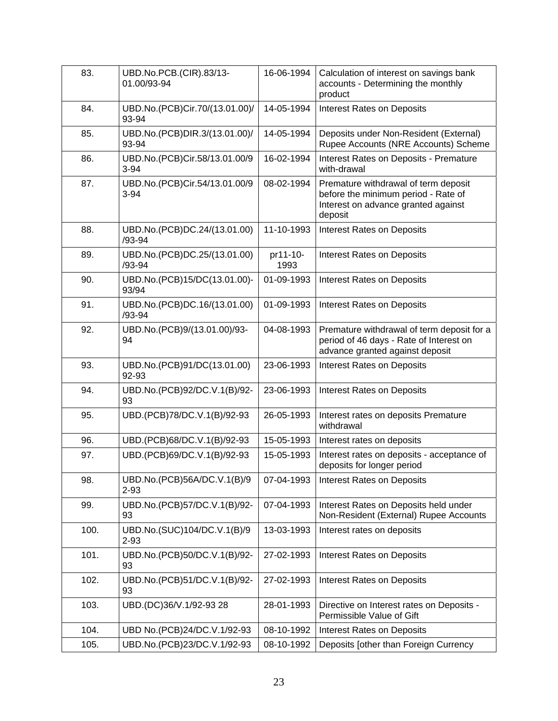| 83.  | UBD.No.PCB.(CIR).83/13-<br>01.00/93-94     | 16-06-1994       | Calculation of interest on savings bank<br>accounts - Determining the monthly<br>product                                      |
|------|--------------------------------------------|------------------|-------------------------------------------------------------------------------------------------------------------------------|
| 84.  | UBD.No.(PCB)Cir.70/(13.01.00)/<br>93-94    | 14-05-1994       | <b>Interest Rates on Deposits</b>                                                                                             |
| 85.  | UBD.No.(PCB)DIR.3/(13.01.00)/<br>93-94     | 14-05-1994       | Deposits under Non-Resident (External)<br>Rupee Accounts (NRE Accounts) Scheme                                                |
| 86.  | UBD.No.(PCB)Cir.58/13.01.00/9<br>$3 - 94$  | 16-02-1994       | Interest Rates on Deposits - Premature<br>with-drawal                                                                         |
| 87.  | UBD.No.(PCB)Cir.54/13.01.00/9<br>$3 - 94$  | 08-02-1994       | Premature withdrawal of term deposit<br>before the minimum period - Rate of<br>Interest on advance granted against<br>deposit |
| 88.  | UBD.No.(PCB)DC.24/(13.01.00)<br>/93-94     | 11-10-1993       | <b>Interest Rates on Deposits</b>                                                                                             |
| 89.  | UBD.No.(PCB)DC.25/(13.01.00)<br>$/93 - 94$ | pr11-10-<br>1993 | <b>Interest Rates on Deposits</b>                                                                                             |
| 90.  | UBD.No.(PCB)15/DC(13.01.00)-<br>93/94      | 01-09-1993       | <b>Interest Rates on Deposits</b>                                                                                             |
| 91.  | UBD.No.(PCB)DC.16/(13.01.00)<br>$/93 - 94$ | 01-09-1993       | <b>Interest Rates on Deposits</b>                                                                                             |
| 92.  | UBD.No.(PCB)9/(13.01.00)/93-<br>94         | 04-08-1993       | Premature withdrawal of term deposit for a<br>period of 46 days - Rate of Interest on<br>advance granted against deposit      |
| 93.  | UBD.No.(PCB)91/DC(13.01.00)<br>92-93       | 23-06-1993       | <b>Interest Rates on Deposits</b>                                                                                             |
| 94.  | UBD.No.(PCB)92/DC.V.1(B)/92-<br>93         | 23-06-1993       | <b>Interest Rates on Deposits</b>                                                                                             |
| 95.  | UBD.(PCB)78/DC.V.1(B)/92-93                | 26-05-1993       | Interest rates on deposits Premature<br>withdrawal                                                                            |
| 96.  | UBD.(PCB)68/DC.V.1(B)/92-93                | 15-05-1993       | Interest rates on deposits                                                                                                    |
| 97.  | UBD.(PCB)69/DC.V.1(B)/92-93                | 15-05-1993       | Interest rates on deposits - acceptance of<br>deposits for longer period                                                      |
| 98.  | UBD.No.(PCB)56A/DC.V.1(B)/9<br>$2 - 93$    | 07-04-1993       | <b>Interest Rates on Deposits</b>                                                                                             |
| 99.  | UBD.No.(PCB)57/DC.V.1(B)/92-<br>93         | 07-04-1993       | Interest Rates on Deposits held under<br>Non-Resident (External) Rupee Accounts                                               |
| 100. | UBD.No.(SUC)104/DC.V.1(B)/9<br>$2 - 93$    | 13-03-1993       | Interest rates on deposits                                                                                                    |
| 101. | UBD.No.(PCB)50/DC.V.1(B)/92-<br>93         | 27-02-1993       | <b>Interest Rates on Deposits</b>                                                                                             |
| 102. | UBD.No.(PCB)51/DC.V.1(B)/92-<br>93         | 27-02-1993       | <b>Interest Rates on Deposits</b>                                                                                             |
| 103. | UBD.(DC)36/V.1/92-93 28                    | 28-01-1993       | Directive on Interest rates on Deposits -<br>Permissible Value of Gift                                                        |
| 104. | UBD No.(PCB)24/DC.V.1/92-93                | 08-10-1992       | <b>Interest Rates on Deposits</b>                                                                                             |
| 105. | UBD.No.(PCB)23/DC.V.1/92-93                | 08-10-1992       | Deposits [other than Foreign Currency                                                                                         |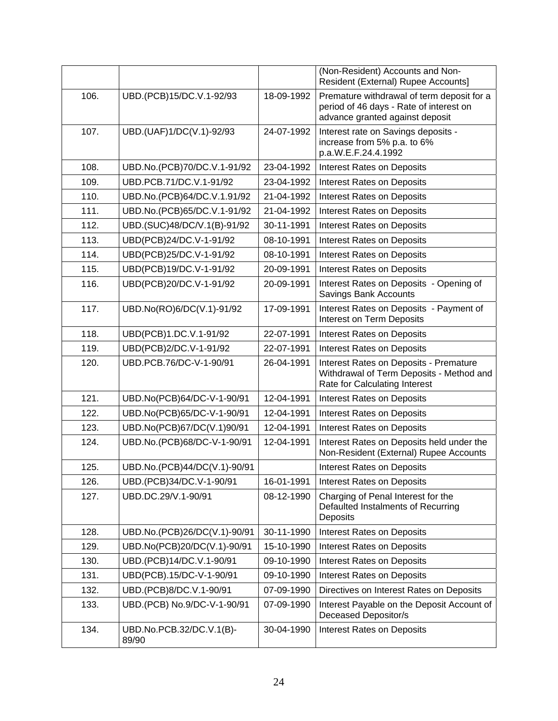|      |                                   |            | (Non-Resident) Accounts and Non-<br>Resident (External) Rupee Accounts]                                                    |
|------|-----------------------------------|------------|----------------------------------------------------------------------------------------------------------------------------|
| 106. | UBD.(PCB)15/DC.V.1-92/93          | 18-09-1992 | Premature withdrawal of term deposit for a<br>period of 46 days - Rate of interest on<br>advance granted against deposit   |
| 107. | UBD.(UAF)1/DC(V.1)-92/93          | 24-07-1992 | Interest rate on Savings deposits -<br>increase from 5% p.a. to 6%<br>p.a.W.E.F.24.4.1992                                  |
| 108. | UBD.No.(PCB)70/DC.V.1-91/92       | 23-04-1992 | <b>Interest Rates on Deposits</b>                                                                                          |
| 109. | UBD.PCB.71/DC.V.1-91/92           | 23-04-1992 | <b>Interest Rates on Deposits</b>                                                                                          |
| 110. | UBD.No.(PCB)64/DC.V.1.91/92       | 21-04-1992 | <b>Interest Rates on Deposits</b>                                                                                          |
| 111. | UBD.No.(PCB)65/DC.V.1-91/92       | 21-04-1992 | <b>Interest Rates on Deposits</b>                                                                                          |
| 112. | UBD.(SUC)48/DC/V.1(B)-91/92       | 30-11-1991 | <b>Interest Rates on Deposits</b>                                                                                          |
| 113. | UBD(PCB)24/DC.V-1-91/92           | 08-10-1991 | <b>Interest Rates on Deposits</b>                                                                                          |
| 114. | UBD(PCB)25/DC.V-1-91/92           | 08-10-1991 | Interest Rates on Deposits                                                                                                 |
| 115. | UBD(PCB)19/DC.V-1-91/92           | 20-09-1991 | <b>Interest Rates on Deposits</b>                                                                                          |
| 116. | UBD(PCB)20/DC.V-1-91/92           | 20-09-1991 | Interest Rates on Deposits - Opening of<br>Savings Bank Accounts                                                           |
| 117. | UBD.No(RO)6/DC(V.1)-91/92         | 17-09-1991 | Interest Rates on Deposits - Payment of<br>Interest on Term Deposits                                                       |
| 118. | UBD(PCB)1.DC.V.1-91/92            | 22-07-1991 | <b>Interest Rates on Deposits</b>                                                                                          |
| 119. | UBD(PCB)2/DC.V-1-91/92            | 22-07-1991 | <b>Interest Rates on Deposits</b>                                                                                          |
| 120. | UBD.PCB.76/DC-V-1-90/91           | 26-04-1991 | <b>Interest Rates on Deposits - Premature</b><br>Withdrawal of Term Deposits - Method and<br>Rate for Calculating Interest |
| 121. | UBD.No(PCB)64/DC-V-1-90/91        | 12-04-1991 | <b>Interest Rates on Deposits</b>                                                                                          |
| 122. | UBD.No(PCB)65/DC-V-1-90/91        | 12-04-1991 | Interest Rates on Deposits                                                                                                 |
| 123. | UBD.No(PCB)67/DC(V.1)90/91        | 12-04-1991 | <b>Interest Rates on Deposits</b>                                                                                          |
| 124. | UBD.No.(PCB)68/DC-V-1-90/91       | 12-04-1991 | Interest Rates on Deposits held under the<br>Non-Resident (External) Rupee Accounts                                        |
| 125. | UBD.No.(PCB)44/DC(V.1)-90/91      |            | <b>Interest Rates on Deposits</b>                                                                                          |
| 126. | UBD.(PCB)34/DC.V-1-90/91          | 16-01-1991 | <b>Interest Rates on Deposits</b>                                                                                          |
| 127. | UBD.DC.29/V.1-90/91               | 08-12-1990 | Charging of Penal Interest for the<br>Defaulted Instalments of Recurring<br>Deposits                                       |
| 128. | UBD.No.(PCB)26/DC(V.1)-90/91      | 30-11-1990 | <b>Interest Rates on Deposits</b>                                                                                          |
| 129. | UBD.No(PCB)20/DC(V.1)-90/91       | 15-10-1990 | <b>Interest Rates on Deposits</b>                                                                                          |
| 130. | UBD.(PCB)14/DC.V.1-90/91          | 09-10-1990 | <b>Interest Rates on Deposits</b>                                                                                          |
| 131. | UBD(PCB).15/DC-V-1-90/91          | 09-10-1990 | <b>Interest Rates on Deposits</b>                                                                                          |
| 132. | UBD.(PCB)8/DC.V.1-90/91           | 07-09-1990 | Directives on Interest Rates on Deposits                                                                                   |
| 133. | UBD.(PCB) No.9/DC-V-1-90/91       | 07-09-1990 | Interest Payable on the Deposit Account of<br>Deceased Depositor/s                                                         |
| 134. | UBD.No.PCB.32/DC.V.1(B)-<br>89/90 | 30-04-1990 | <b>Interest Rates on Deposits</b>                                                                                          |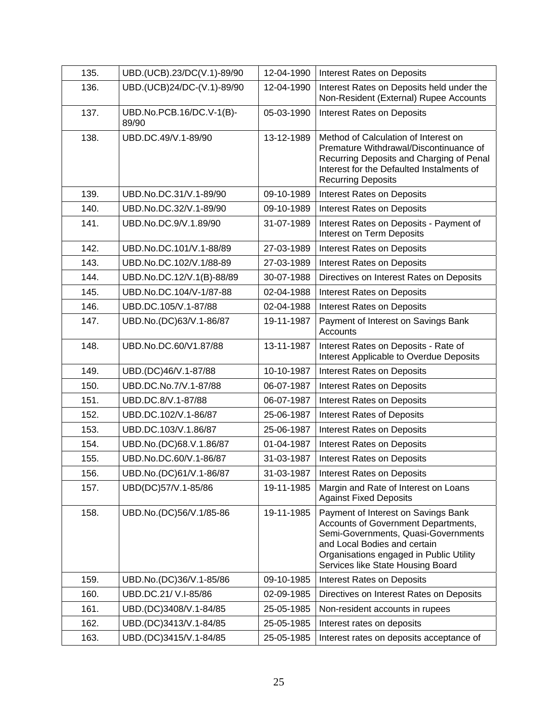| 135. | UBD.(UCB).23/DC(V.1)-89/90        | 12-04-1990 | <b>Interest Rates on Deposits</b>                                                                                                                                                                                                 |
|------|-----------------------------------|------------|-----------------------------------------------------------------------------------------------------------------------------------------------------------------------------------------------------------------------------------|
| 136. | UBD.(UCB)24/DC-(V.1)-89/90        | 12-04-1990 | Interest Rates on Deposits held under the<br>Non-Resident (External) Rupee Accounts                                                                                                                                               |
| 137. | UBD.No.PCB.16/DC.V-1(B)-<br>89/90 | 05-03-1990 | <b>Interest Rates on Deposits</b>                                                                                                                                                                                                 |
| 138. | UBD.DC.49/V.1-89/90               | 13-12-1989 | Method of Calculation of Interest on<br>Premature Withdrawal/Discontinuance of<br>Recurring Deposits and Charging of Penal<br>Interest for the Defaulted Instalments of<br><b>Recurring Deposits</b>                              |
| 139. | UBD.No.DC.31/V.1-89/90            | 09-10-1989 | <b>Interest Rates on Deposits</b>                                                                                                                                                                                                 |
| 140. | UBD.No.DC.32/V.1-89/90            | 09-10-1989 | <b>Interest Rates on Deposits</b>                                                                                                                                                                                                 |
| 141. | UBD.No.DC.9/V.1.89/90             | 31-07-1989 | Interest Rates on Deposits - Payment of<br>Interest on Term Deposits                                                                                                                                                              |
| 142. | UBD.No.DC.101/V.1-88/89           | 27-03-1989 | <b>Interest Rates on Deposits</b>                                                                                                                                                                                                 |
| 143. | UBD.No.DC.102/V.1/88-89           | 27-03-1989 | <b>Interest Rates on Deposits</b>                                                                                                                                                                                                 |
| 144. | UBD.No.DC.12/V.1(B)-88/89         | 30-07-1988 | Directives on Interest Rates on Deposits                                                                                                                                                                                          |
| 145. | UBD.No.DC.104/V-1/87-88           | 02-04-1988 | Interest Rates on Deposits                                                                                                                                                                                                        |
| 146. | UBD.DC.105/V.1-87/88              | 02-04-1988 | <b>Interest Rates on Deposits</b>                                                                                                                                                                                                 |
| 147. | UBD.No.(DC)63/V.1-86/87           | 19-11-1987 | Payment of Interest on Savings Bank<br>Accounts                                                                                                                                                                                   |
| 148. | UBD.No.DC.60/V1.87/88             | 13-11-1987 | Interest Rates on Deposits - Rate of<br>Interest Applicable to Overdue Deposits                                                                                                                                                   |
| 149. | UBD.(DC)46/V.1-87/88              | 10-10-1987 | <b>Interest Rates on Deposits</b>                                                                                                                                                                                                 |
| 150. | UBD.DC.No.7/V.1-87/88             | 06-07-1987 | <b>Interest Rates on Deposits</b>                                                                                                                                                                                                 |
| 151. | UBD.DC.8/V.1-87/88                | 06-07-1987 | <b>Interest Rates on Deposits</b>                                                                                                                                                                                                 |
| 152. | UBD.DC.102/V.1-86/87              | 25-06-1987 | <b>Interest Rates of Deposits</b>                                                                                                                                                                                                 |
| 153. | UBD.DC.103/V.1.86/87              | 25-06-1987 | Interest Rates on Deposits                                                                                                                                                                                                        |
| 154. | UBD.No.(DC)68.V.1.86/87           | 01-04-1987 | <b>Interest Rates on Deposits</b>                                                                                                                                                                                                 |
| 155. | UBD.No.DC.60/V.1-86/87            | 31-03-1987 | <b>Interest Rates on Deposits</b>                                                                                                                                                                                                 |
| 156. | UBD.No.(DC)61/V.1-86/87           | 31-03-1987 | Interest Rates on Deposits                                                                                                                                                                                                        |
| 157. | UBD(DC)57/V.1-85/86               | 19-11-1985 | Margin and Rate of Interest on Loans<br><b>Against Fixed Deposits</b>                                                                                                                                                             |
| 158. | UBD.No.(DC)56/V.1/85-86           | 19-11-1985 | Payment of Interest on Savings Bank<br>Accounts of Government Departments,<br>Semi-Governments, Quasi-Governments<br>and Local Bodies and certain<br>Organisations engaged in Public Utility<br>Services like State Housing Board |
| 159. | UBD.No.(DC)36/V.1-85/86           | 09-10-1985 | <b>Interest Rates on Deposits</b>                                                                                                                                                                                                 |
| 160. | UBD.DC.21/ V.I-85/86              | 02-09-1985 | Directives on Interest Rates on Deposits                                                                                                                                                                                          |
| 161. | UBD.(DC)3408/V.1-84/85            | 25-05-1985 | Non-resident accounts in rupees                                                                                                                                                                                                   |
| 162. | UBD.(DC)3413/V.1-84/85            | 25-05-1985 | Interest rates on deposits                                                                                                                                                                                                        |
| 163. | UBD.(DC)3415/V.1-84/85            | 25-05-1985 | Interest rates on deposits acceptance of                                                                                                                                                                                          |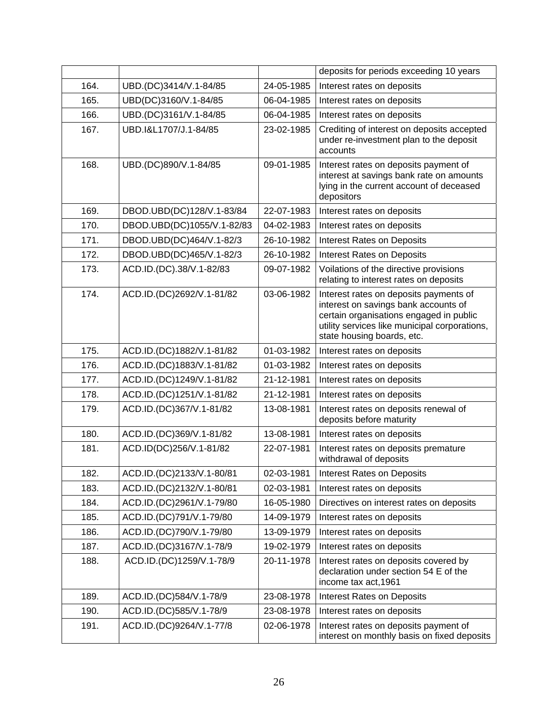|      |                            |            | deposits for periods exceeding 10 years                                                                                                                                                                  |
|------|----------------------------|------------|----------------------------------------------------------------------------------------------------------------------------------------------------------------------------------------------------------|
| 164. | UBD.(DC)3414/V.1-84/85     | 24-05-1985 | Interest rates on deposits                                                                                                                                                                               |
| 165. | UBD(DC)3160/V.1-84/85      | 06-04-1985 | Interest rates on deposits                                                                                                                                                                               |
| 166. | UBD.(DC)3161/V.1-84/85     | 06-04-1985 | Interest rates on deposits                                                                                                                                                                               |
| 167. | UBD.I&L1707/J.1-84/85      | 23-02-1985 | Crediting of interest on deposits accepted<br>under re-investment plan to the deposit<br>accounts                                                                                                        |
| 168. | UBD.(DC)890/V.1-84/85      | 09-01-1985 | Interest rates on deposits payment of<br>interest at savings bank rate on amounts<br>lying in the current account of deceased<br>depositors                                                              |
| 169. | DBOD.UBD(DC)128/V.1-83/84  | 22-07-1983 | Interest rates on deposits                                                                                                                                                                               |
| 170. | DBOD.UBD(DC)1055/V.1-82/83 | 04-02-1983 | Interest rates on deposits                                                                                                                                                                               |
| 171. | DBOD.UBD(DC)464/V.1-82/3   | 26-10-1982 | Interest Rates on Deposits                                                                                                                                                                               |
| 172. | DBOD.UBD(DC)465/V.1-82/3   | 26-10-1982 | <b>Interest Rates on Deposits</b>                                                                                                                                                                        |
| 173. | ACD.ID.(DC).38/V.1-82/83   | 09-07-1982 | Voilations of the directive provisions<br>relating to interest rates on deposits                                                                                                                         |
| 174. | ACD.ID.(DC)2692/V.1-81/82  | 03-06-1982 | Interest rates on deposits payments of<br>interest on savings bank accounts of<br>certain organisations engaged in public<br>utility services like municipal corporations,<br>state housing boards, etc. |
| 175. | ACD.ID.(DC)1882/V.1-81/82  | 01-03-1982 | Interest rates on deposits                                                                                                                                                                               |
| 176. | ACD.ID.(DC)1883/V.1-81/82  | 01-03-1982 | Interest rates on deposits                                                                                                                                                                               |
| 177. | ACD.ID.(DC)1249/V.1-81/82  | 21-12-1981 | Interest rates on deposits                                                                                                                                                                               |
| 178. | ACD.ID.(DC)1251/V.1-81/82  | 21-12-1981 | Interest rates on deposits                                                                                                                                                                               |
| 179. | ACD.ID.(DC)367/V.1-81/82   | 13-08-1981 | Interest rates on deposits renewal of<br>deposits before maturity                                                                                                                                        |
| 180. | ACD.ID.(DC)369/V.1-81/82   | 13-08-1981 | Interest rates on deposits                                                                                                                                                                               |
| 181. | ACD.ID(DC)256/V.1-81/82    | 22-07-1981 | Interest rates on deposits premature<br>withdrawal of deposits                                                                                                                                           |
| 182. | ACD.ID.(DC)2133/V.1-80/81  | 02-03-1981 | <b>Interest Rates on Deposits</b>                                                                                                                                                                        |
| 183. | ACD.ID.(DC)2132/V.1-80/81  | 02-03-1981 | Interest rates on deposits                                                                                                                                                                               |
| 184. | ACD.ID.(DC)2961/V.1-79/80  | 16-05-1980 | Directives on interest rates on deposits                                                                                                                                                                 |
| 185. | ACD.ID.(DC)791/V.1-79/80   | 14-09-1979 | Interest rates on deposits                                                                                                                                                                               |
| 186. | ACD.ID.(DC)790/V.1-79/80   | 13-09-1979 | Interest rates on deposits                                                                                                                                                                               |
| 187. | ACD.ID.(DC)3167/V.1-78/9   | 19-02-1979 | Interest rates on deposits                                                                                                                                                                               |
| 188. | ACD.ID.(DC)1259/V.1-78/9   | 20-11-1978 | Interest rates on deposits covered by<br>declaration under section 54 E of the<br>income tax act, 1961                                                                                                   |
| 189. | ACD.ID.(DC)584/V.1-78/9    | 23-08-1978 | <b>Interest Rates on Deposits</b>                                                                                                                                                                        |
| 190. | ACD.ID.(DC)585/V.1-78/9    | 23-08-1978 | Interest rates on deposits                                                                                                                                                                               |
| 191. | ACD.ID.(DC)9264/V.1-77/8   | 02-06-1978 | Interest rates on deposits payment of<br>interest on monthly basis on fixed deposits                                                                                                                     |